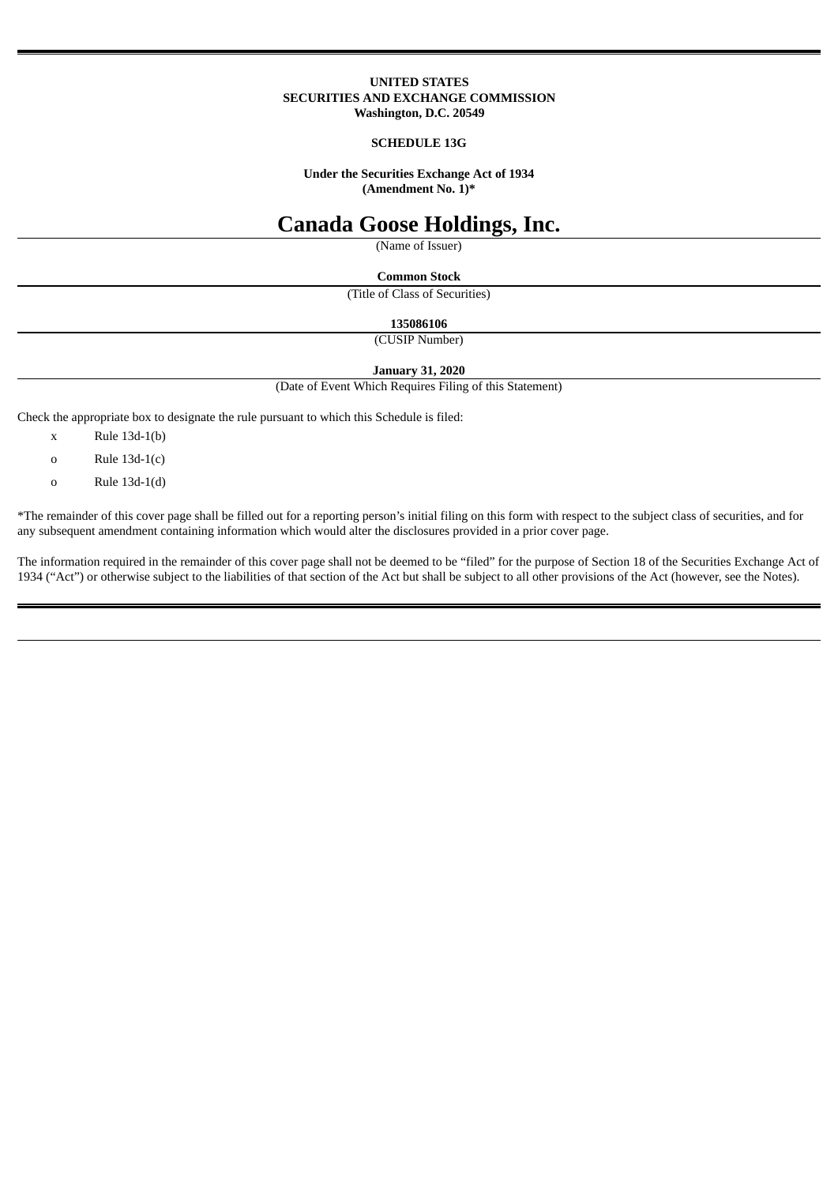#### **UNITED STATES SECURITIES AND EXCHANGE COMMISSION Washington, D.C. 20549**

#### **SCHEDULE 13G**

**Under the Securities Exchange Act of 1934 (Amendment No. 1)\***

# **Canada Goose Holdings, Inc.**

(Name of Issuer)

**Common Stock**

(Title of Class of Securities)

**135086106**

(CUSIP Number)

**January 31, 2020**

(Date of Event Which Requires Filing of this Statement)

Check the appropriate box to designate the rule pursuant to which this Schedule is filed:

- x Rule 13d-1(b)
- o Rule 13d-1(c)
- o Rule 13d-1(d)

\*The remainder of this cover page shall be filled out for a reporting person's initial filing on this form with respect to the subject class of securities, and for any subsequent amendment containing information which would alter the disclosures provided in a prior cover page.

The information required in the remainder of this cover page shall not be deemed to be "filed" for the purpose of Section 18 of the Securities Exchange Act of 1934 ("Act") or otherwise subject to the liabilities of that section of the Act but shall be subject to all other provisions of the Act (however, see the Notes).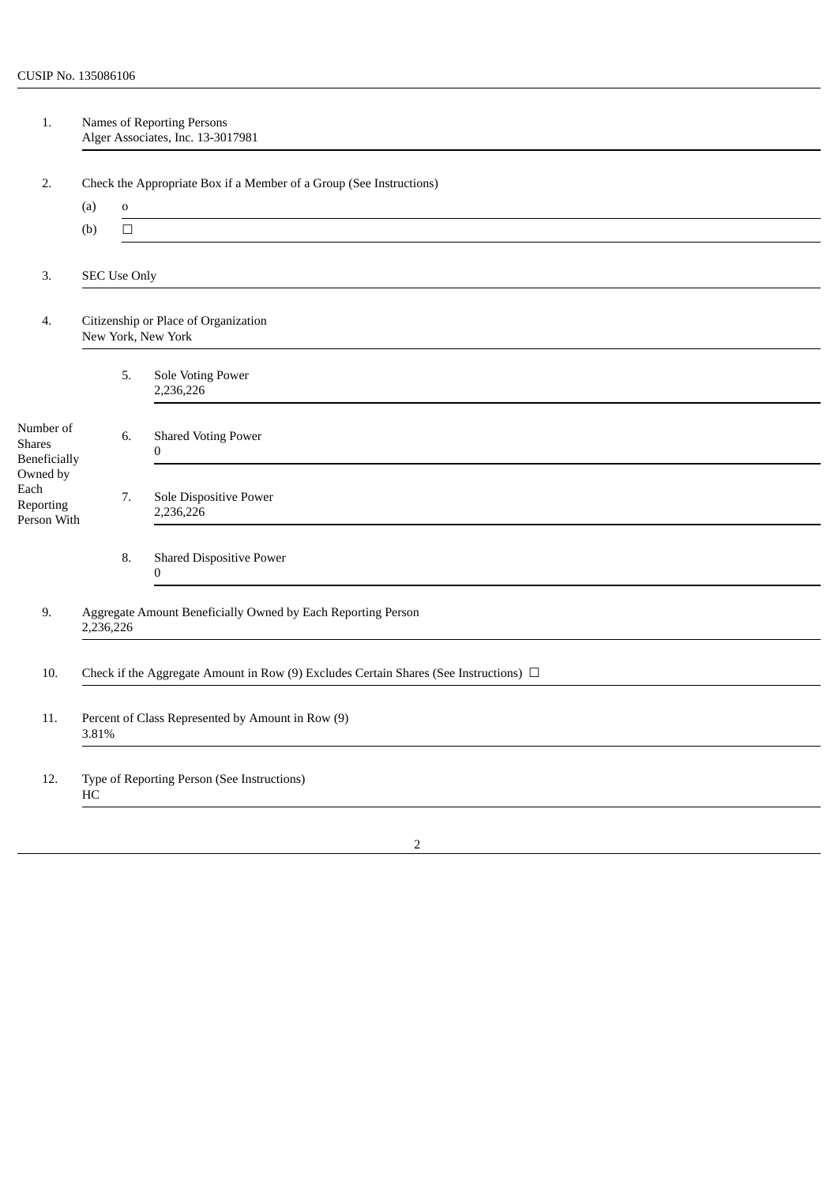| 1.                                                                                                          | Names of Reporting Persons<br>Alger Associates, Inc. 13-3017981                            |                     |                                                 |  |  |  |  |  |
|-------------------------------------------------------------------------------------------------------------|--------------------------------------------------------------------------------------------|---------------------|-------------------------------------------------|--|--|--|--|--|
|                                                                                                             |                                                                                            |                     |                                                 |  |  |  |  |  |
| 2.                                                                                                          | Check the Appropriate Box if a Member of a Group (See Instructions)<br>(a)<br>$\mathbf O$  |                     |                                                 |  |  |  |  |  |
|                                                                                                             | (b)                                                                                        | $\Box$              |                                                 |  |  |  |  |  |
|                                                                                                             |                                                                                            |                     |                                                 |  |  |  |  |  |
| 3.                                                                                                          |                                                                                            | <b>SEC Use Only</b> |                                                 |  |  |  |  |  |
| 4.                                                                                                          | Citizenship or Place of Organization<br>New York, New York                                 |                     |                                                 |  |  |  |  |  |
|                                                                                                             |                                                                                            | 5.                  | <b>Sole Voting Power</b><br>2,236,226           |  |  |  |  |  |
| Number of<br><b>Shares</b><br>Beneficially<br>Owned by<br>$\operatorname{Each}$<br>Reporting<br>Person With |                                                                                            | 6.                  | <b>Shared Voting Power</b><br>$\pmb{0}$         |  |  |  |  |  |
|                                                                                                             |                                                                                            | 7.                  | Sole Dispositive Power<br>2,236,226             |  |  |  |  |  |
|                                                                                                             |                                                                                            | 8.                  | <b>Shared Dispositive Power</b><br>$\mathbf{0}$ |  |  |  |  |  |
| 9.                                                                                                          | Aggregate Amount Beneficially Owned by Each Reporting Person<br>2,236,226                  |                     |                                                 |  |  |  |  |  |
| 10.                                                                                                         | Check if the Aggregate Amount in Row (9) Excludes Certain Shares (See Instructions) $\Box$ |                     |                                                 |  |  |  |  |  |
| 11.                                                                                                         | Percent of Class Represented by Amount in Row (9)<br>3.81%                                 |                     |                                                 |  |  |  |  |  |
| 12.                                                                                                         | Type of Reporting Person (See Instructions)<br>HC                                          |                     |                                                 |  |  |  |  |  |
|                                                                                                             |                                                                                            |                     |                                                 |  |  |  |  |  |

2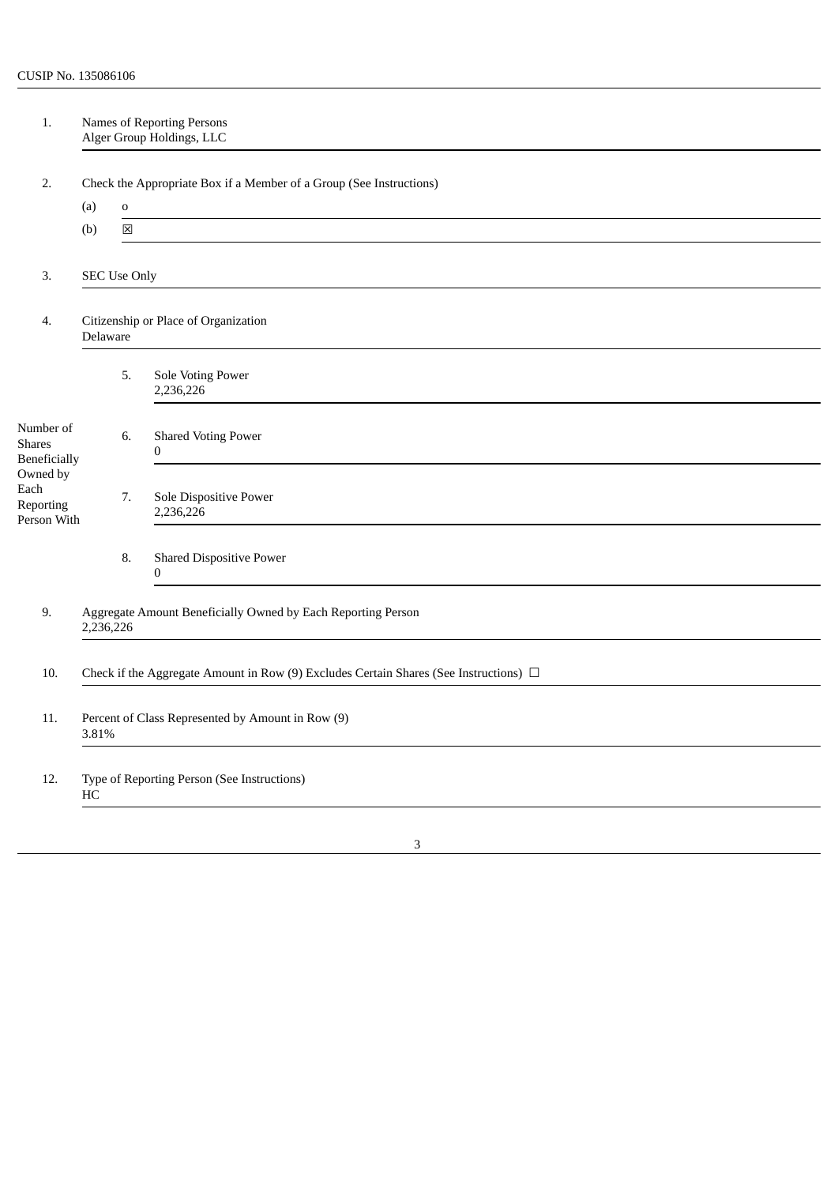| 1.                                           | Names of Reporting Persons<br>Alger Group Holdings, LLC                                    |             |                                                |  |  |  |  |  |  |
|----------------------------------------------|--------------------------------------------------------------------------------------------|-------------|------------------------------------------------|--|--|--|--|--|--|
| 2.                                           | Check the Appropriate Box if a Member of a Group (See Instructions)                        |             |                                                |  |  |  |  |  |  |
|                                              | (a)                                                                                        | $\mathbf 0$ |                                                |  |  |  |  |  |  |
|                                              | (b)                                                                                        | 区           |                                                |  |  |  |  |  |  |
| 3.                                           |                                                                                            |             | <b>SEC Use Only</b>                            |  |  |  |  |  |  |
| 4.                                           | Citizenship or Place of Organization<br>Delaware                                           |             |                                                |  |  |  |  |  |  |
|                                              |                                                                                            | 5.          | Sole Voting Power<br>2,236,226                 |  |  |  |  |  |  |
| Number of<br><b>Shares</b><br>Beneficially   |                                                                                            | 6.          | <b>Shared Voting Power</b><br>$\boldsymbol{0}$ |  |  |  |  |  |  |
| Owned by<br>Each<br>Reporting<br>Person With |                                                                                            | 7.          | Sole Dispositive Power<br>2,236,226            |  |  |  |  |  |  |
|                                              |                                                                                            | 8.          | <b>Shared Dispositive Power</b><br>$\pmb{0}$   |  |  |  |  |  |  |
| 9.                                           | Aggregate Amount Beneficially Owned by Each Reporting Person<br>2,236,226                  |             |                                                |  |  |  |  |  |  |
| 10.                                          | Check if the Aggregate Amount in Row (9) Excludes Certain Shares (See Instructions) $\Box$ |             |                                                |  |  |  |  |  |  |
| 11.                                          | Percent of Class Represented by Amount in Row (9)<br>3.81%                                 |             |                                                |  |  |  |  |  |  |
| 12.                                          | Type of Reporting Person (See Instructions)<br>HC                                          |             |                                                |  |  |  |  |  |  |
|                                              |                                                                                            |             |                                                |  |  |  |  |  |  |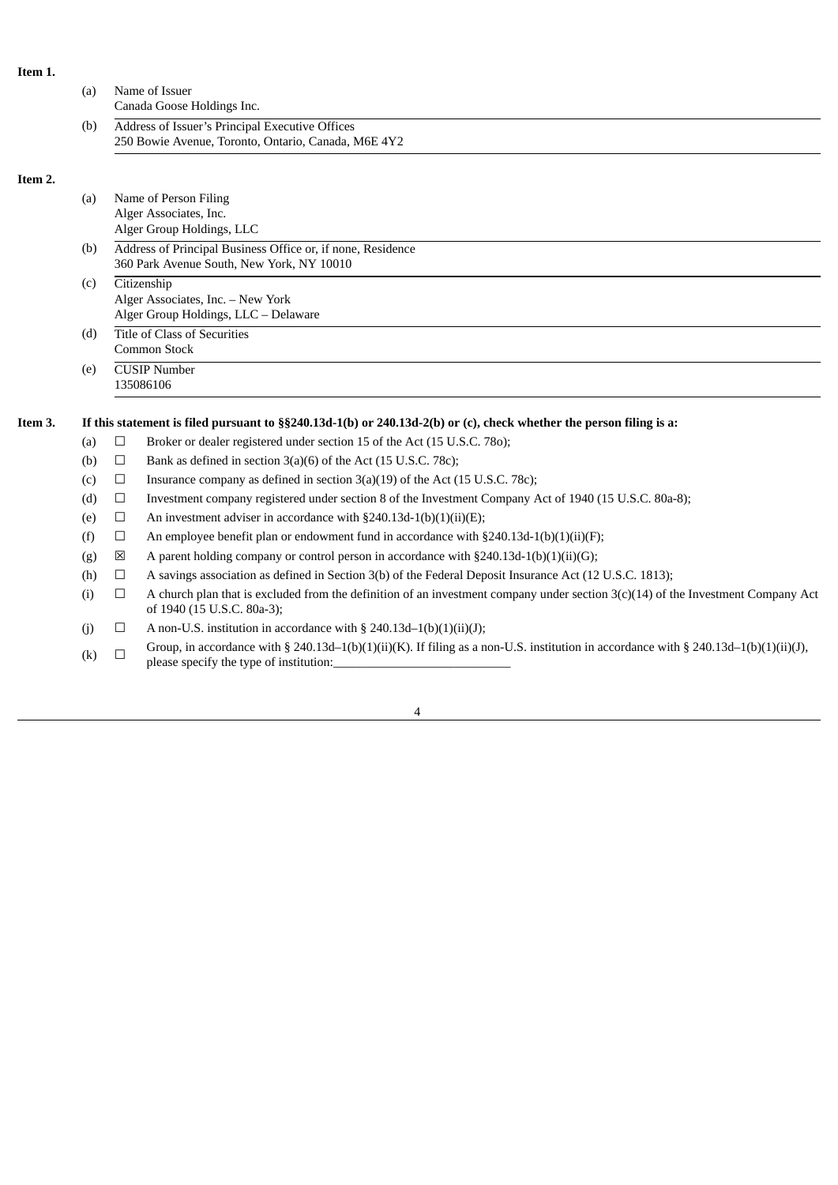| Item 1.                |     |                                                                                                          |                                                                                                                                                                                          |  |  |
|------------------------|-----|----------------------------------------------------------------------------------------------------------|------------------------------------------------------------------------------------------------------------------------------------------------------------------------------------------|--|--|
|                        | (a) |                                                                                                          | Name of Issuer<br>Canada Goose Holdings Inc.                                                                                                                                             |  |  |
|                        | (b) | Address of Issuer's Principal Executive Offices<br>250 Bowie Avenue, Toronto, Ontario, Canada, M6E 4Y2   |                                                                                                                                                                                          |  |  |
| Item 2.                |     |                                                                                                          |                                                                                                                                                                                          |  |  |
|                        | (a) |                                                                                                          | Name of Person Filing                                                                                                                                                                    |  |  |
| Alger Associates, Inc. |     |                                                                                                          |                                                                                                                                                                                          |  |  |
|                        |     |                                                                                                          | Alger Group Holdings, LLC                                                                                                                                                                |  |  |
|                        | (b) | Address of Principal Business Office or, if none, Residence<br>360 Park Avenue South, New York, NY 10010 |                                                                                                                                                                                          |  |  |
|                        | (c) | Citizenship                                                                                              |                                                                                                                                                                                          |  |  |
|                        |     |                                                                                                          | Alger Associates, Inc. - New York                                                                                                                                                        |  |  |
|                        |     |                                                                                                          | Alger Group Holdings, LLC - Delaware                                                                                                                                                     |  |  |
|                        | (d) | Title of Class of Securities                                                                             |                                                                                                                                                                                          |  |  |
|                        |     |                                                                                                          | Common Stock                                                                                                                                                                             |  |  |
|                        | (e) |                                                                                                          | <b>CUSIP Number</b><br>135086106                                                                                                                                                         |  |  |
| Item 3.                |     |                                                                                                          | If this statement is filed pursuant to $\S$ §240.13d-1(b) or 240.13d-2(b) or (c), check whether the person filing is a:                                                                  |  |  |
|                        | (a) | $\Box$                                                                                                   | Broker or dealer registered under section 15 of the Act (15 U.S.C. 780);                                                                                                                 |  |  |
|                        | (b) | $\Box$                                                                                                   | Bank as defined in section 3(a)(6) of the Act (15 U.S.C. 78c);                                                                                                                           |  |  |
|                        | (c) | $\Box$                                                                                                   | Insurance company as defined in section 3(a)(19) of the Act (15 U.S.C. 78c);                                                                                                             |  |  |
|                        | (d) | $\Box$                                                                                                   | Investment company registered under section 8 of the Investment Company Act of 1940 (15 U.S.C. 80a-8);                                                                                   |  |  |
|                        | (e) | $\Box$                                                                                                   | An investment adviser in accordance with §240.13d-1(b)(1)(ii)(E);                                                                                                                        |  |  |
|                        | (f) | $\Box$                                                                                                   | An employee benefit plan or endowment fund in accordance with $\S 240.13d-1(b)(1)(ii)(F)$ ;                                                                                              |  |  |
|                        | (g) | $\boxtimes$                                                                                              | A parent holding company or control person in accordance with $\S 240.13d-1(b)(1)(ii)(G);$                                                                                               |  |  |
|                        | (h) | $\Box$                                                                                                   | A savings association as defined in Section 3(b) of the Federal Deposit Insurance Act (12 U.S.C. 1813);                                                                                  |  |  |
|                        | (i) | $\Box$                                                                                                   | A church plan that is excluded from the definition of an investment company under section $3(c)(14)$ of the Investment Company Act<br>of 1940 (15 U.S.C. 80a-3);                         |  |  |
|                        | (j) | $\Box$                                                                                                   | A non-U.S. institution in accordance with $\S$ 240.13d–1(b)(1)(ii)(J);                                                                                                                   |  |  |
|                        | (k) | $\Box$                                                                                                   | Group, in accordance with § 240.13d-1(b)(1)(ii)(K). If filing as a non-U.S. institution in accordance with § 240.13d-1(b)(1)(ii)(J),<br>a baasa saasti fiir dha marsa a fi imamminin mar |  |  |

4

please specify the type of institution:\_\_\_\_\_\_\_\_\_\_\_\_\_\_\_\_\_\_\_\_\_\_\_\_\_\_\_\_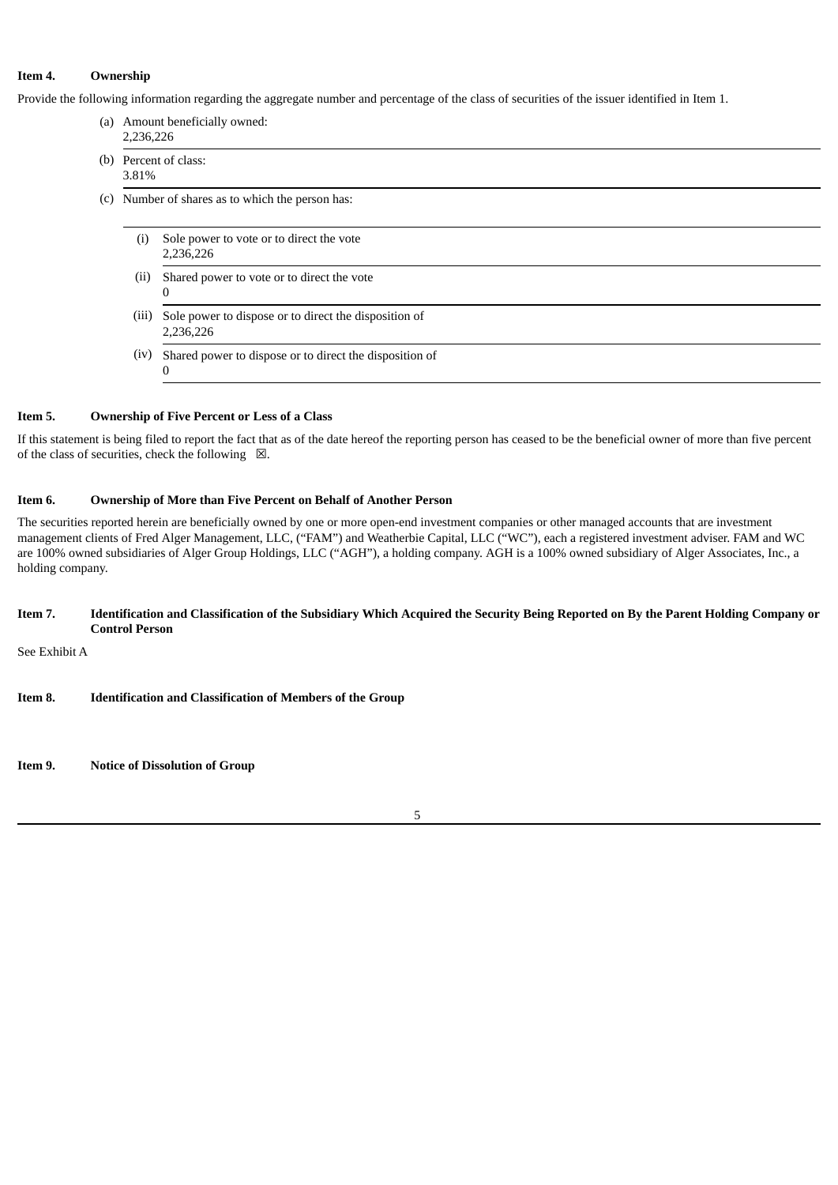### **Item 4. Ownership**

Provide the following information regarding the aggregate number and percentage of the class of securities of the issuer identified in Item 1.

- (a) Amount beneficially owned: 2,236,226
- (b) Percent of class: 3.81%
- (c) Number of shares as to which the person has:
	- (i) Sole power to vote or to direct the vote 2,236,226 (ii) Shared power to vote or to direct the vote  $\Omega$ (iii) Sole power to dispose or to direct the disposition of 2,236,226
	- (iv) Shared power to dispose or to direct the disposition of  $\theta$

#### **Item 5. Ownership of Five Percent or Less of a Class**

If this statement is being filed to report the fact that as of the date hereof the reporting person has ceased to be the beneficial owner of more than five percent of the class of securities, check the following  $\boxtimes$ .

# **Item 6. Ownership of More than Five Percent on Behalf of Another Person**

The securities reported herein are beneficially owned by one or more open-end investment companies or other managed accounts that are investment management clients of Fred Alger Management, LLC, ("FAM") and Weatherbie Capital, LLC ("WC"), each a registered investment adviser. FAM and WC are 100% owned subsidiaries of Alger Group Holdings, LLC ("AGH"), a holding company. AGH is a 100% owned subsidiary of Alger Associates, Inc., a holding company.

#### Item 7. Identification and Classification of the Subsidiary Which Acquired the Security Being Reported on By the Parent Holding Company or **Control Person**

See Exhibit A

**Item 8. Identification and Classification of Members of the Group**

**Item 9. Notice of Dissolution of Group**

5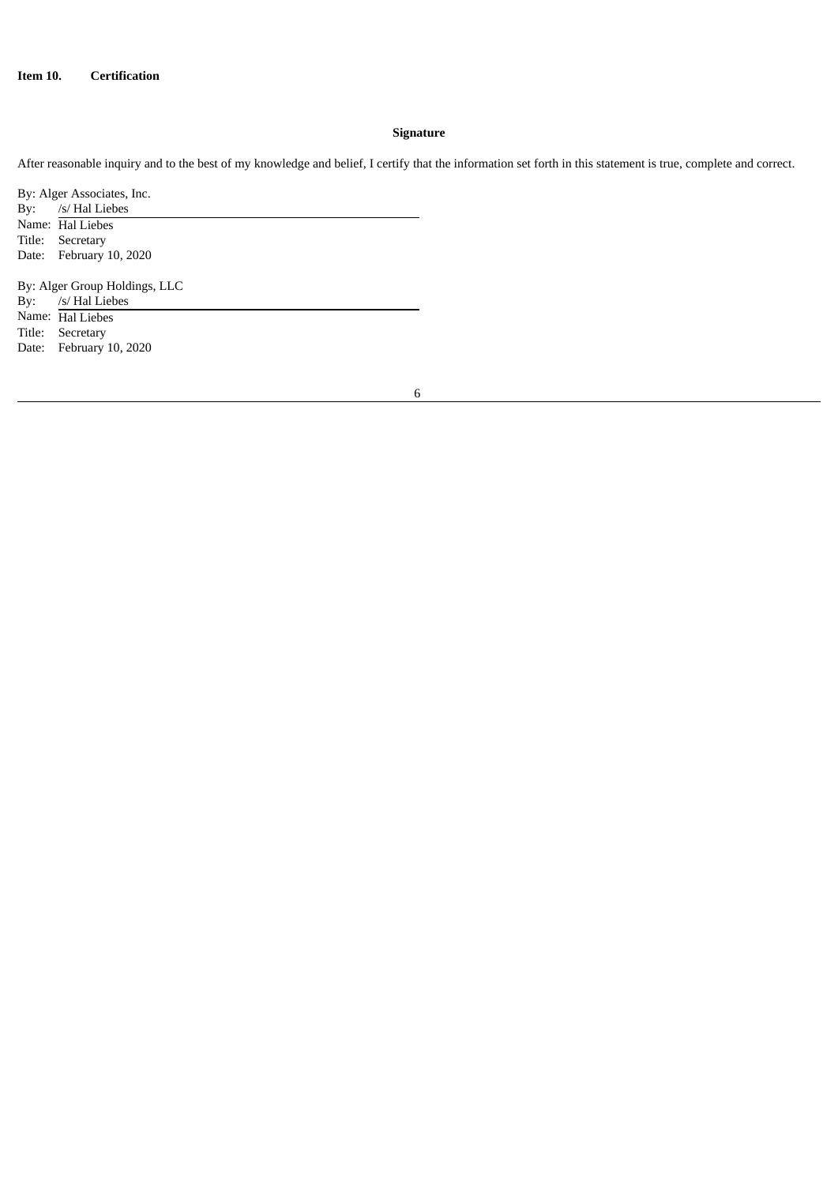# **Signature**

After reasonable inquiry and to the best of my knowledge and belief, I certify that the information set forth in this statement is true, complete and correct.

By: Alger Associates, Inc.<br>By: /s/ Hal Liebes By: /s/ Hal Liebes Name: Hal Liebes Title: Secretary Date: February 10, 2020 By: Alger Group Holdings, LLC<br>By: /s/ Hal Liebes  $\frac{3}{5}$ /s/ Hal Liebes Name: Hal Liebes Title: Secretary Date: February 10, 2020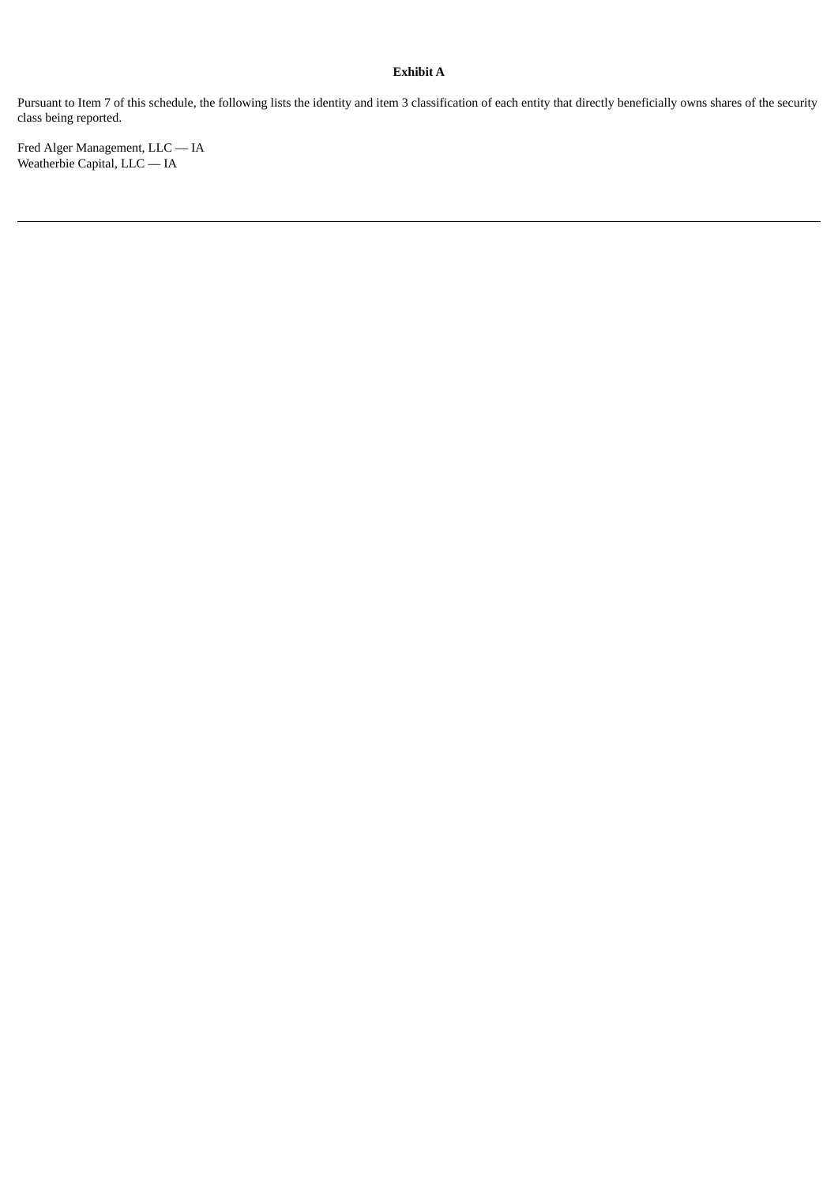# **Exhibit A**

Pursuant to Item 7 of this schedule, the following lists the identity and item 3 classification of each entity that directly beneficially owns shares of the security class being reported.

Fred Alger Management, LLC — IA Weatherbie Capital, LLC — IA